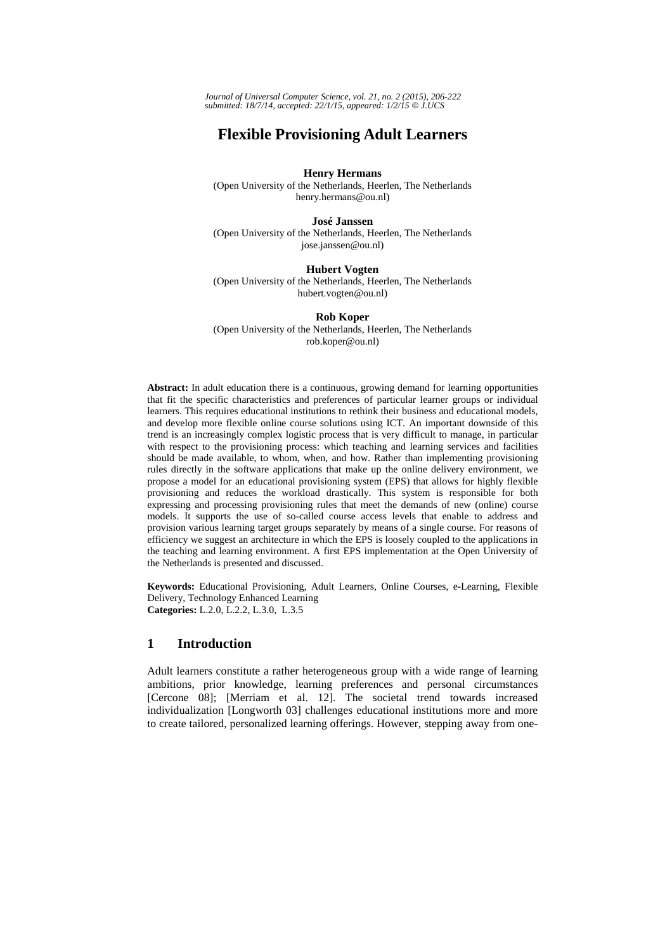*Journal of Universal Computer Science, vol. 21, no. 2 (2015), 206-222 submitted: 18/7/14, accepted: 22/1/15, appeared: 1/2/15* © *J.UCS*

# **Flexible Provisioning Adult Learners**

#### **Henry Hermans**

(Open University of the Netherlands, Heerlen, The Netherlands henry.hermans@ou.nl)

#### **José Janssen**

(Open University of the Netherlands, Heerlen, The Netherlands jose.janssen@ou.nl)

# **Hubert Vogten**

(Open University of the Netherlands, Heerlen, The Netherlands hubert.vogten@ou.nl)

### **Rob Koper**

(Open University of the Netherlands, Heerlen, The Netherlands rob.koper@ou.nl)

**Abstract:** In adult education there is a continuous, growing demand for learning opportunities that fit the specific characteristics and preferences of particular learner groups or individual learners. This requires educational institutions to rethink their business and educational models, and develop more flexible online course solutions using ICT. An important downside of this trend is an increasingly complex logistic process that is very difficult to manage, in particular with respect to the provisioning process: which teaching and learning services and facilities should be made available, to whom, when, and how. Rather than implementing provisioning rules directly in the software applications that make up the online delivery environment, we propose a model for an educational provisioning system (EPS) that allows for highly flexible provisioning and reduces the workload drastically. This system is responsible for both expressing and processing provisioning rules that meet the demands of new (online) course models. It supports the use of so-called course access levels that enable to address and provision various learning target groups separately by means of a single course. For reasons of efficiency we suggest an architecture in which the EPS is loosely coupled to the applications in the teaching and learning environment. A first EPS implementation at the Open University of the Netherlands is presented and discussed.

**Keywords:** Educational Provisioning, Adult Learners, Online Courses, e-Learning, Flexible Delivery, Technology Enhanced Learning **Categories:** L.2.0, L.2.2, L.3.0, L.3.5

# **1 Introduction**

Adult learners constitute a rather heterogeneous group with a wide range of learning ambitions, prior knowledge, learning preferences and personal circumstances [Cercone 08]; [Merriam et al. 12]. The societal trend towards increased individualization [Longworth 03] challenges educational institutions more and more to create tailored, personalized learning offerings. However, stepping away from one-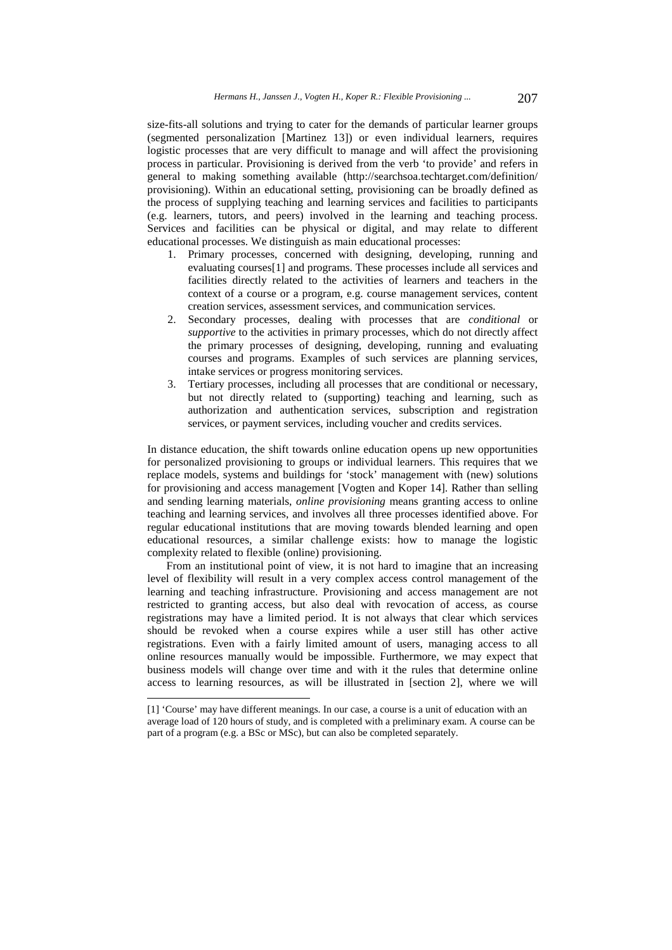size-fits-all solutions and trying to cater for the demands of particular learner groups (segmented personalization [Martinez 13]) or even individual learners, requires logistic processes that are very difficult to manage and will affect the provisioning process in particular. Provisioning is derived from the verb 'to provide' and refers in general to making something available (http://searchsoa.techtarget.com/definition/ provisioning). Within an educational setting, provisioning can be broadly defined as the process of supplying teaching and learning services and facilities to participants (e.g. learners, tutors, and peers) involved in the learning and teaching process. Services and facilities can be physical or digital, and may relate to different educational processes. We distinguish as main educational processes:

- 1. Primary processes, concerned with designing, developing, running and evaluating courses[1] and programs. These processes include all services and facilities directly related to the activities of learners and teachers in the context of a course or a program, e.g. course management services, content creation services, assessment services, and communication services.
- 2. Secondary processes, dealing with processes that are *conditional* or *supportive* to the activities in primary processes, which do not directly affect the primary processes of designing, developing, running and evaluating courses and programs. Examples of such services are planning services, intake services or progress monitoring services.
- 3. Tertiary processes, including all processes that are conditional or necessary, but not directly related to (supporting) teaching and learning, such as authorization and authentication services, subscription and registration services, or payment services, including voucher and credits services.

In distance education, the shift towards online education opens up new opportunities for personalized provisioning to groups or individual learners. This requires that we replace models, systems and buildings for 'stock' management with (new) solutions for provisioning and access management [Vogten and Koper 14]. Rather than selling and sending learning materials, *online provisioning* means granting access to online teaching and learning services, and involves all three processes identified above. For regular educational institutions that are moving towards blended learning and open educational resources, a similar challenge exists: how to manage the logistic complexity related to flexible (online) provisioning.

From an institutional point of view, it is not hard to imagine that an increasing level of flexibility will result in a very complex access control management of the learning and teaching infrastructure. Provisioning and access management are not restricted to granting access, but also deal with revocation of access, as course registrations may have a limited period. It is not always that clear which services should be revoked when a course expires while a user still has other active registrations. Even with a fairly limited amount of users, managing access to all online resources manually would be impossible. Furthermore, we may expect that business models will change over time and with it the rules that determine online access to learning resources, as will be illustrated in [section 2], where we will

l

<sup>[1] &#</sup>x27;Course' may have different meanings. In our case, a course is a unit of education with an average load of 120 hours of study, and is completed with a preliminary exam. A course can be part of a program (e.g. a BSc or MSc), but can also be completed separately.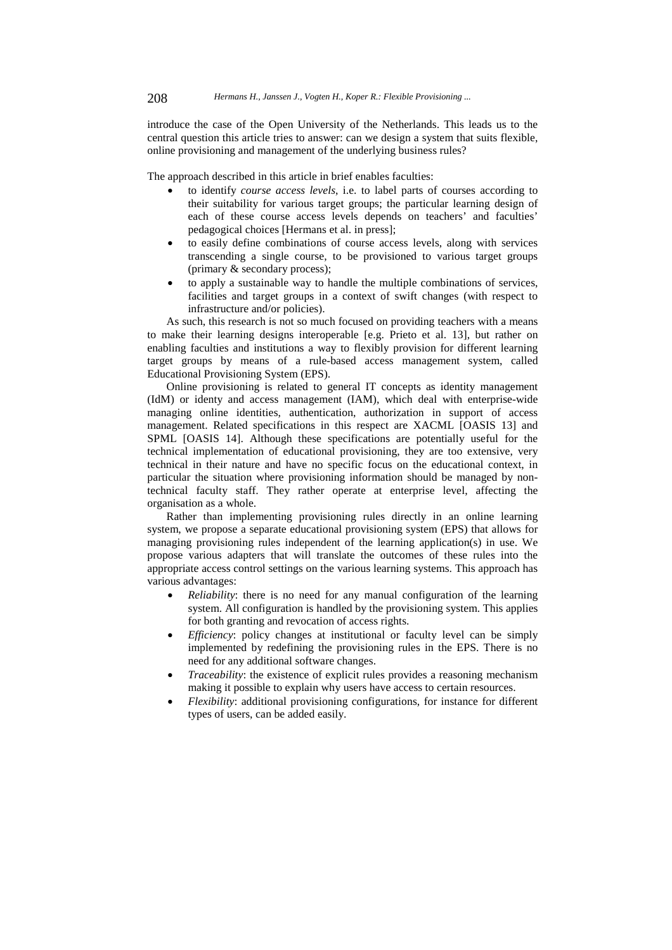introduce the case of the Open University of the Netherlands. This leads us to the central question this article tries to answer: can we design a system that suits flexible, online provisioning and management of the underlying business rules?

The approach described in this article in brief enables faculties:

- to identify *course access levels*, i.e. to label parts of courses according to their suitability for various target groups; the particular learning design of each of these course access levels depends on teachers' and faculties' pedagogical choices [Hermans et al. in press];
- to easily define combinations of course access levels, along with services transcending a single course, to be provisioned to various target groups (primary & secondary process);
- to apply a sustainable way to handle the multiple combinations of services, facilities and target groups in a context of swift changes (with respect to infrastructure and/or policies).

As such, this research is not so much focused on providing teachers with a means to make their learning designs interoperable [e.g. Prieto et al. 13], but rather on enabling faculties and institutions a way to flexibly provision for different learning target groups by means of a rule-based access management system, called Educational Provisioning System (EPS).

Online provisioning is related to general IT concepts as identity management (IdM) or identy and access management (IAM), which deal with enterprise-wide managing online identities, authentication, authorization in support of access management. Related specifications in this respect are XACML [OASIS 13] and SPML [OASIS 14]. Although these specifications are potentially useful for the technical implementation of educational provisioning, they are too extensive, very technical in their nature and have no specific focus on the educational context, in particular the situation where provisioning information should be managed by nontechnical faculty staff. They rather operate at enterprise level, affecting the organisation as a whole.

Rather than implementing provisioning rules directly in an online learning system, we propose a separate educational provisioning system (EPS) that allows for managing provisioning rules independent of the learning application(s) in use. We propose various adapters that will translate the outcomes of these rules into the appropriate access control settings on the various learning systems. This approach has various advantages:

- *Reliability*: there is no need for any manual configuration of the learning system. All configuration is handled by the provisioning system. This applies for both granting and revocation of access rights.
- *Efficiency*: policy changes at institutional or faculty level can be simply implemented by redefining the provisioning rules in the EPS. There is no need for any additional software changes.
- *Traceability*: the existence of explicit rules provides a reasoning mechanism making it possible to explain why users have access to certain resources.
- *Flexibility*: additional provisioning configurations, for instance for different types of users, can be added easily.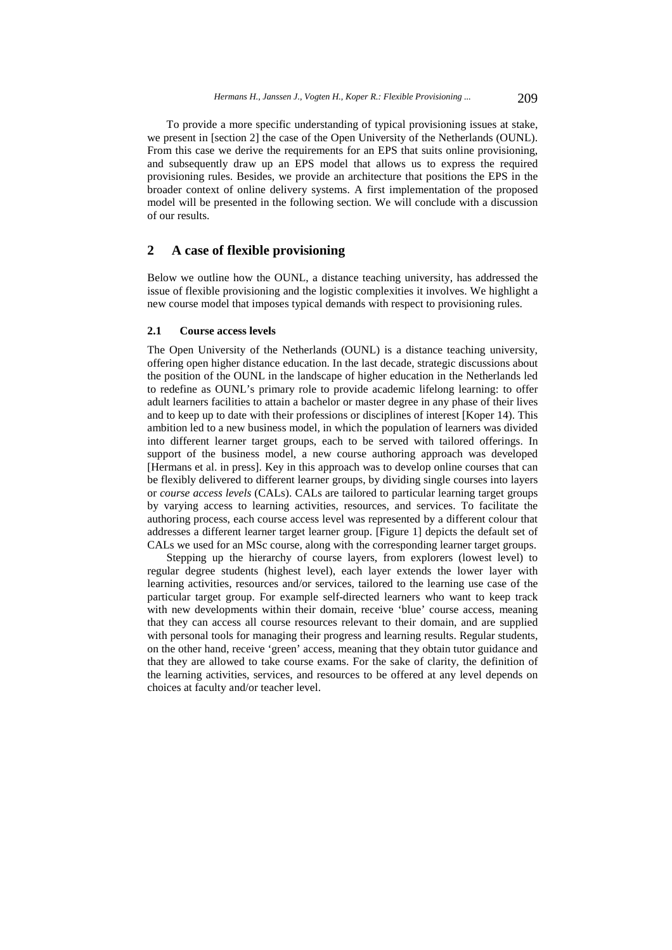To provide a more specific understanding of typical provisioning issues at stake, we present in [section 2] the case of the Open University of the Netherlands (OUNL). From this case we derive the requirements for an EPS that suits online provisioning, and subsequently draw up an EPS model that allows us to express the required provisioning rules. Besides, we provide an architecture that positions the EPS in the broader context of online delivery systems. A first implementation of the proposed model will be presented in the following section. We will conclude with a discussion of our results.

# **2 A case of flexible provisioning**

Below we outline how the OUNL, a distance teaching university, has addressed the issue of flexible provisioning and the logistic complexities it involves. We highlight a new course model that imposes typical demands with respect to provisioning rules.

#### **2.1 Course access levels**

The Open University of the Netherlands (OUNL) is a distance teaching university, offering open higher distance education. In the last decade, strategic discussions about the position of the OUNL in the landscape of higher education in the Netherlands led to redefine as OUNL's primary role to provide academic lifelong learning: to offer adult learners facilities to attain a bachelor or master degree in any phase of their lives and to keep up to date with their professions or disciplines of interest [Koper 14). This ambition led to a new business model, in which the population of learners was divided into different learner target groups, each to be served with tailored offerings. In support of the business model, a new course authoring approach was developed [Hermans et al. in press]. Key in this approach was to develop online courses that can be flexibly delivered to different learner groups, by dividing single courses into layers or *course access levels* (CALs). CALs are tailored to particular learning target groups by varying access to learning activities, resources, and services. To facilitate the authoring process, each course access level was represented by a different colour that addresses a different learner target learner group. [Figure 1] depicts the default set of CALs we used for an MSc course, along with the corresponding learner target groups.

Stepping up the hierarchy of course layers, from explorers (lowest level) to regular degree students (highest level), each layer extends the lower layer with learning activities, resources and/or services, tailored to the learning use case of the particular target group. For example self-directed learners who want to keep track with new developments within their domain, receive 'blue' course access, meaning that they can access all course resources relevant to their domain, and are supplied with personal tools for managing their progress and learning results. Regular students, on the other hand, receive 'green' access, meaning that they obtain tutor guidance and that they are allowed to take course exams. For the sake of clarity, the definition of the learning activities, services, and resources to be offered at any level depends on choices at faculty and/or teacher level.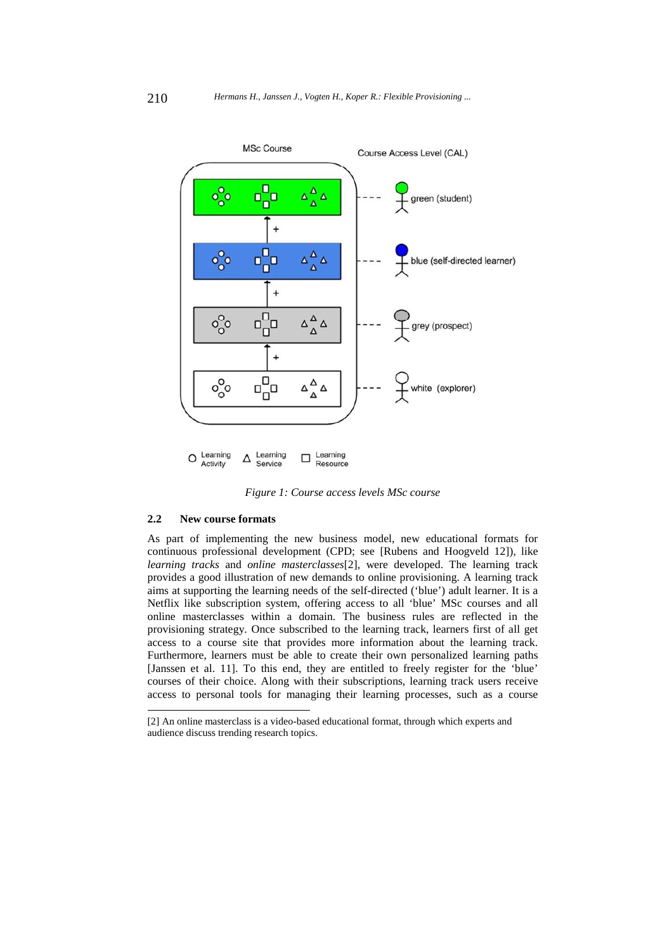

*Figure 1: Course access levels MSc course* 

#### **2.2 New course formats**

 $\overline{\phantom{a}}$ 

As part of implementing the new business model, new educational formats for continuous professional development (CPD; see [Rubens and Hoogveld 12]), like *learning tracks* and *online masterclasses*[2], were developed. The learning track provides a good illustration of new demands to online provisioning. A learning track aims at supporting the learning needs of the self-directed ('blue') adult learner. It is a Netflix like subscription system, offering access to all 'blue' MSc courses and all online masterclasses within a domain. The business rules are reflected in the provisioning strategy. Once subscribed to the learning track, learners first of all get access to a course site that provides more information about the learning track. Furthermore, learners must be able to create their own personalized learning paths [Janssen et al. 11]. To this end, they are entitled to freely register for the 'blue' courses of their choice. Along with their subscriptions, learning track users receive access to personal tools for managing their learning processes, such as a course

<sup>[2]</sup> An online masterclass is a video-based educational format, through which experts and audience discuss trending research topics.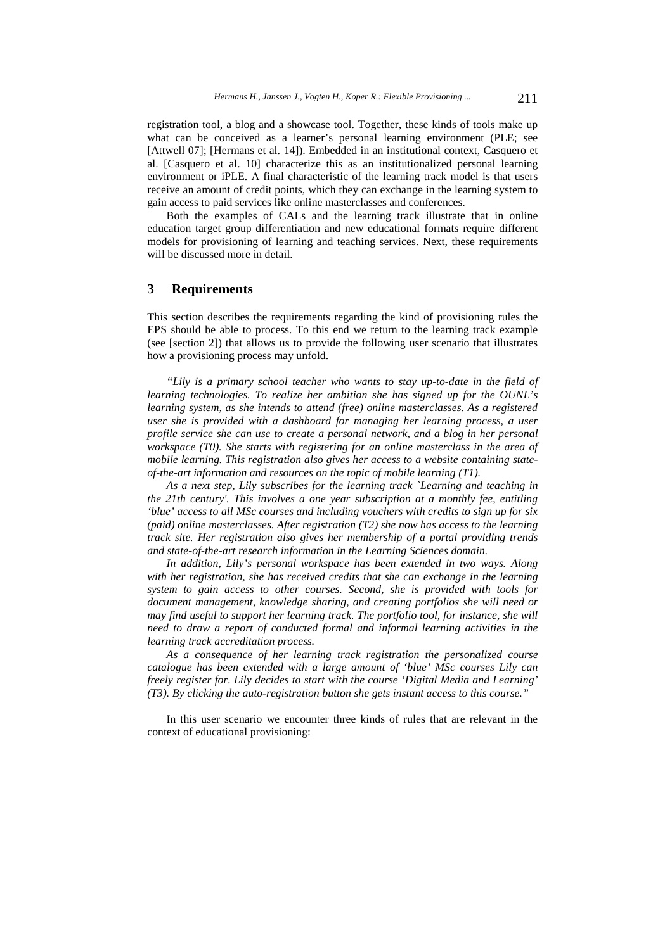registration tool, a blog and a showcase tool. Together, these kinds of tools make up what can be conceived as a learner's personal learning environment (PLE; see [Attwell 07]; [Hermans et al. 14]). Embedded in an institutional context, Casquero et al. [Casquero et al. 10] characterize this as an institutionalized personal learning environment or iPLE. A final characteristic of the learning track model is that users receive an amount of credit points, which they can exchange in the learning system to gain access to paid services like online masterclasses and conferences.

Both the examples of CALs and the learning track illustrate that in online education target group differentiation and new educational formats require different models for provisioning of learning and teaching services. Next, these requirements will be discussed more in detail.

# **3 Requirements**

This section describes the requirements regarding the kind of provisioning rules the EPS should be able to process. To this end we return to the learning track example (see [section 2]) that allows us to provide the following user scenario that illustrates how a provisioning process may unfold.

*"Lily is a primary school teacher who wants to stay up-to-date in the field of learning technologies. To realize her ambition she has signed up for the OUNL's learning system, as she intends to attend (free) online masterclasses. As a registered user she is provided with a dashboard for managing her learning process, a user profile service she can use to create a personal network, and a blog in her personal workspace (T0). She starts with registering for an online masterclass in the area of mobile learning. This registration also gives her access to a website containing stateof-the-art information and resources on the topic of mobile learning (T1).* 

*As a next step, Lily subscribes for the learning track `Learning and teaching in the 21th century'. This involves a one year subscription at a monthly fee, entitling 'blue' access to all MSc courses and including vouchers with credits to sign up for six (paid) online masterclasses. After registration (T2) she now has access to the learning track site. Her registration also gives her membership of a portal providing trends and state-of-the-art research information in the Learning Sciences domain.* 

In addition, Lily's personal workspace has been extended in two ways. Along *with her registration, she has received credits that she can exchange in the learning system to gain access to other courses. Second, she is provided with tools for document management, knowledge sharing, and creating portfolios she will need or may find useful to support her learning track. The portfolio tool, for instance, she will need to draw a report of conducted formal and informal learning activities in the learning track accreditation process.* 

*As a consequence of her learning track registration the personalized course catalogue has been extended with a large amount of 'blue' MSc courses Lily can freely register for. Lily decides to start with the course 'Digital Media and Learning' (T3). By clicking the auto-registration button she gets instant access to this course."* 

In this user scenario we encounter three kinds of rules that are relevant in the context of educational provisioning: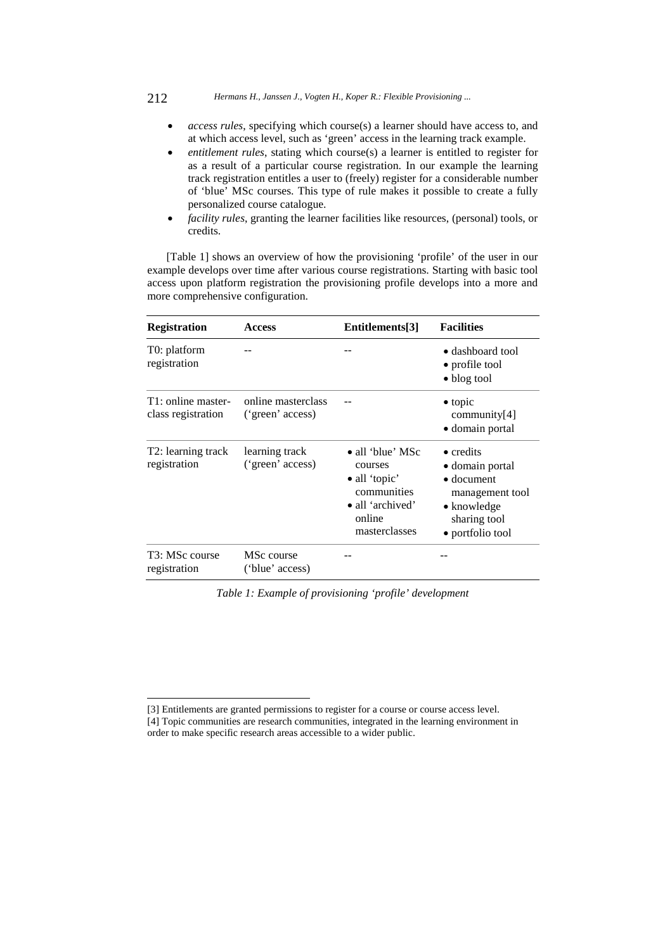#### 212 *Hermans H., Janssen J., Vogten H., Koper R.: Flexible Provisioning ...*

- *access rules*, specifying which course(s) a learner should have access to, and at which access level, such as 'green' access in the learning track example.
- *entitlement rules*, stating which course(s) a learner is entitled to register for as a result of a particular course registration. In our example the learning track registration entitles a user to (freely) register for a considerable number of 'blue' MSc courses. This type of rule makes it possible to create a fully personalized course catalogue.
- *facility rules*, granting the learner facilities like resources, (personal) tools, or credits.

[Table 1] shows an overview of how the provisioning 'profile' of the user in our example develops over time after various course registrations. Starting with basic tool access upon platform registration the provisioning profile develops into a more and more comprehensive configuration.

| <b>Registration</b>                      | <b>Access</b>                          | Entitlements[3]                                                                                                            | <b>Facilities</b><br>• dashboard tool<br>• profile tool<br>• blog tool                                                                   |  |  |
|------------------------------------------|----------------------------------------|----------------------------------------------------------------------------------------------------------------------------|------------------------------------------------------------------------------------------------------------------------------------------|--|--|
| T0: platform<br>registration             |                                        |                                                                                                                            |                                                                                                                                          |  |  |
| T1: online master-<br>class registration | online masterclass<br>('green' access) |                                                                                                                            | $\bullet$ topic<br>community[4]<br>· domain portal                                                                                       |  |  |
| T2: learning track<br>registration       | learning track<br>('green' access)     | $\bullet$ all 'blue' MSc<br>courses<br>$\bullet$ all 'topic'<br>communities<br>• all 'archived'<br>online<br>masterclasses | $\bullet$ credits<br>• domain portal<br>$\bullet$ document<br>management tool<br>$\bullet$ knowledge<br>sharing tool<br>· portfolio tool |  |  |
| T3: MSc course<br>registration           | MSc course<br>('blue' access)          |                                                                                                                            |                                                                                                                                          |  |  |

*Table 1: Example of provisioning 'profile' development* 

l

<sup>[3]</sup> Entitlements are granted permissions to register for a course or course access level.

<sup>[4]</sup> Topic communities are research communities, integrated in the learning environment in order to make specific research areas accessible to a wider public.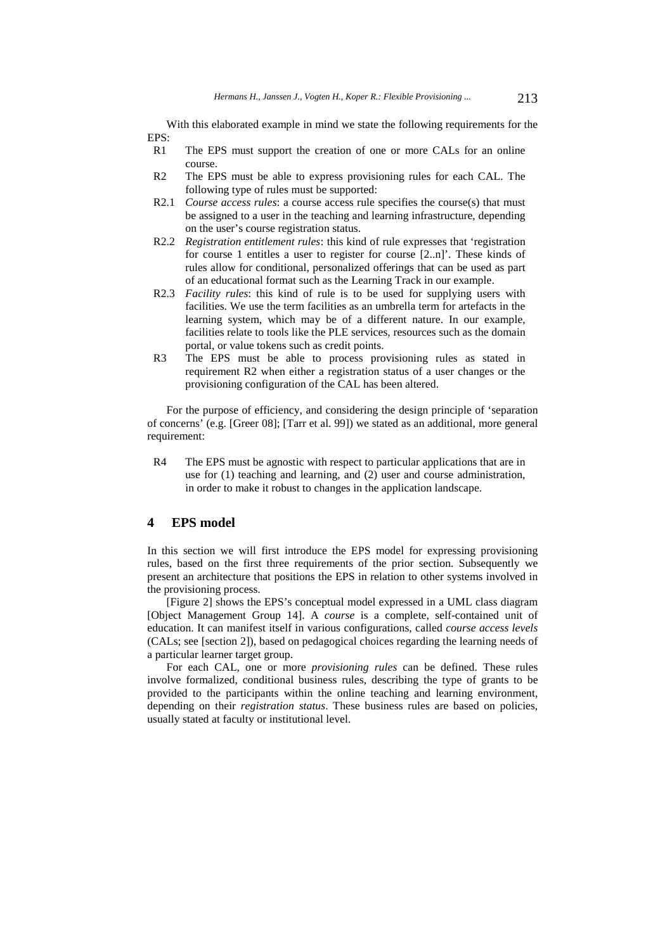With this elaborated example in mind we state the following requirements for the EPS:

- R1 The EPS must support the creation of one or more CALs for an online course.
- R2 The EPS must be able to express provisioning rules for each CAL. The following type of rules must be supported:
- R2.1 *Course access rules*: a course access rule specifies the course(s) that must be assigned to a user in the teaching and learning infrastructure, depending on the user's course registration status.
- R2.2 *Registration entitlement rules*: this kind of rule expresses that 'registration for course 1 entitles a user to register for course [2..n]'. These kinds of rules allow for conditional, personalized offerings that can be used as part of an educational format such as the Learning Track in our example.
- R2.3 *Facility rules*: this kind of rule is to be used for supplying users with facilities. We use the term facilities as an umbrella term for artefacts in the learning system, which may be of a different nature. In our example, facilities relate to tools like the PLE services, resources such as the domain portal, or value tokens such as credit points.
- R3 The EPS must be able to process provisioning rules as stated in requirement R2 when either a registration status of a user changes or the provisioning configuration of the CAL has been altered.

For the purpose of efficiency, and considering the design principle of 'separation of concerns' (e.g. [Greer 08]; [Tarr et al. 99]) we stated as an additional, more general requirement:

R4 The EPS must be agnostic with respect to particular applications that are in use for (1) teaching and learning, and (2) user and course administration, in order to make it robust to changes in the application landscape.

## **4 EPS model**

In this section we will first introduce the EPS model for expressing provisioning rules, based on the first three requirements of the prior section. Subsequently we present an architecture that positions the EPS in relation to other systems involved in the provisioning process.

[Figure 2] shows the EPS's conceptual model expressed in a UML class diagram [Object Management Group 14]. A *course* is a complete, self-contained unit of education. It can manifest itself in various configurations, called *course access levels* (CALs; see [section 2]), based on pedagogical choices regarding the learning needs of a particular learner target group.

For each CAL, one or more *provisioning rules* can be defined. These rules involve formalized, conditional business rules, describing the type of grants to be provided to the participants within the online teaching and learning environment, depending on their *registration status*. These business rules are based on policies, usually stated at faculty or institutional level.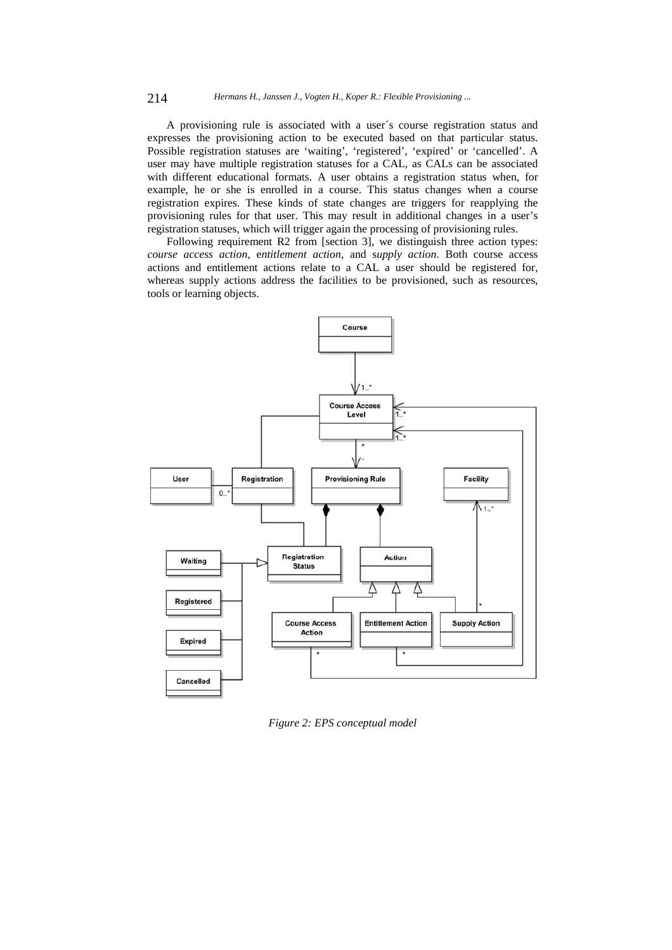A provisioning rule is associated with a user´s course registration status and expresses the provisioning action to be executed based on that particular status. Possible registration statuses are 'waiting', 'registered', 'expired' or 'cancelled'. A user may have multiple registration statuses for a CAL, as CALs can be associated with different educational formats. A user obtains a registration status when, for example, he or she is enrolled in a course. This status changes when a course registration expires. These kinds of state changes are triggers for reapplying the provisioning rules for that user. This may result in additional changes in a user's registration statuses, which will trigger again the processing of provisioning rules.

Following requirement R2 from [section 3], we distinguish three action types: *course access action*, e*ntitlement action*, and s*upply action*. Both course access actions and entitlement actions relate to a CAL a user should be registered for, whereas supply actions address the facilities to be provisioned, such as resources, tools or learning objects.



*Figure 2: EPS conceptual model*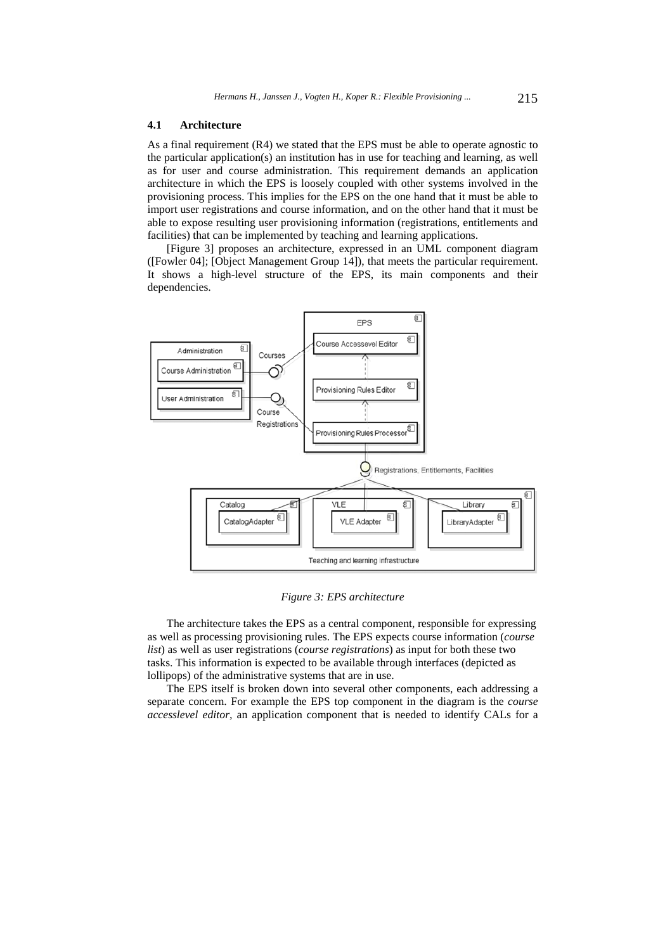#### **4.1 Architecture**

As a final requirement (R4) we stated that the EPS must be able to operate agnostic to the particular application(s) an institution has in use for teaching and learning, as well as for user and course administration. This requirement demands an application architecture in which the EPS is loosely coupled with other systems involved in the provisioning process. This implies for the EPS on the one hand that it must be able to import user registrations and course information, and on the other hand that it must be able to expose resulting user provisioning information (registrations, entitlements and facilities) that can be implemented by teaching and learning applications.

[Figure 3] proposes an architecture, expressed in an UML component diagram ([Fowler 04]; [Object Management Group 14]), that meets the particular requirement. It shows a high-level structure of the EPS, its main components and their dependencies.



*Figure 3: EPS architecture* 

The architecture takes the EPS as a central component, responsible for expressing as well as processing provisioning rules. The EPS expects course information (*course list*) as well as user registrations (*course registrations*) as input for both these two tasks. This information is expected to be available through interfaces (depicted as lollipops) of the administrative systems that are in use.

The EPS itself is broken down into several other components, each addressing a separate concern. For example the EPS top component in the diagram is the *course accesslevel editor,* an application component that is needed to identify CALs for a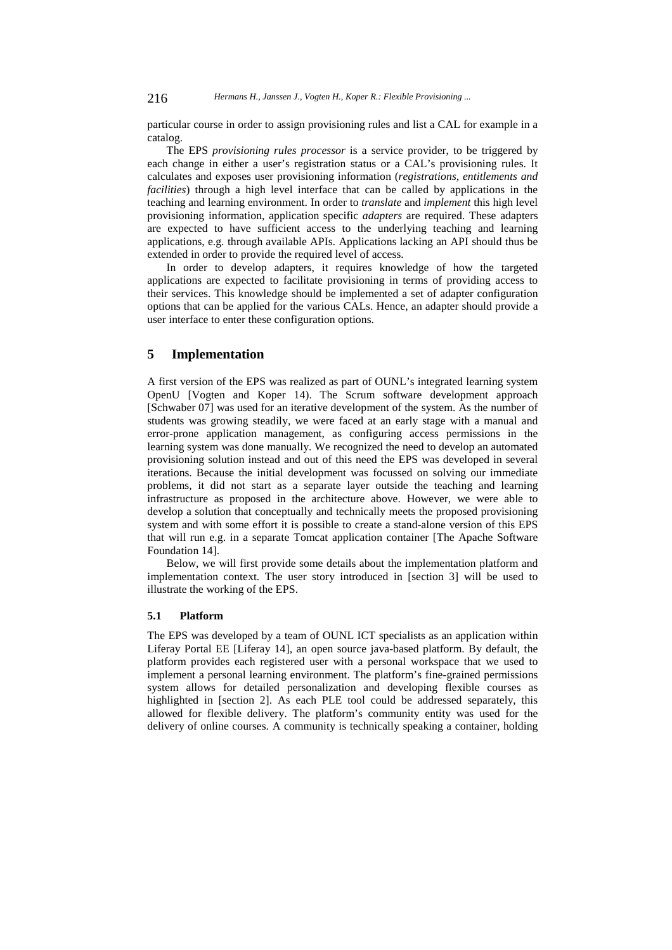particular course in order to assign provisioning rules and list a CAL for example in a catalog.

The EPS *provisioning rules processor* is a service provider, to be triggered by each change in either a user's registration status or a CAL's provisioning rules. It calculates and exposes user provisioning information (*registrations, entitlements and facilities*) through a high level interface that can be called by applications in the teaching and learning environment. In order to *translate* and *implement* this high level provisioning information, application specific *adapters* are required. These adapters are expected to have sufficient access to the underlying teaching and learning applications, e.g. through available APIs. Applications lacking an API should thus be extended in order to provide the required level of access.

In order to develop adapters, it requires knowledge of how the targeted applications are expected to facilitate provisioning in terms of providing access to their services. This knowledge should be implemented a set of adapter configuration options that can be applied for the various CALs. Hence, an adapter should provide a user interface to enter these configuration options.

# **5 Implementation**

A first version of the EPS was realized as part of OUNL's integrated learning system OpenU [Vogten and Koper 14). The Scrum software development approach [Schwaber 07] was used for an iterative development of the system. As the number of students was growing steadily, we were faced at an early stage with a manual and error-prone application management, as configuring access permissions in the learning system was done manually. We recognized the need to develop an automated provisioning solution instead and out of this need the EPS was developed in several iterations. Because the initial development was focussed on solving our immediate problems, it did not start as a separate layer outside the teaching and learning infrastructure as proposed in the architecture above. However, we were able to develop a solution that conceptually and technically meets the proposed provisioning system and with some effort it is possible to create a stand-alone version of this EPS that will run e.g. in a separate Tomcat application container [The Apache Software Foundation 14].

Below, we will first provide some details about the implementation platform and implementation context. The user story introduced in [section 3] will be used to illustrate the working of the EPS.

# **5.1 Platform**

The EPS was developed by a team of OUNL ICT specialists as an application within Liferay Portal EE [Liferay 14], an open source java-based platform. By default, the platform provides each registered user with a personal workspace that we used to implement a personal learning environment. The platform's fine-grained permissions system allows for detailed personalization and developing flexible courses as highlighted in [section 2]. As each PLE tool could be addressed separately, this allowed for flexible delivery. The platform's community entity was used for the delivery of online courses. A community is technically speaking a container, holding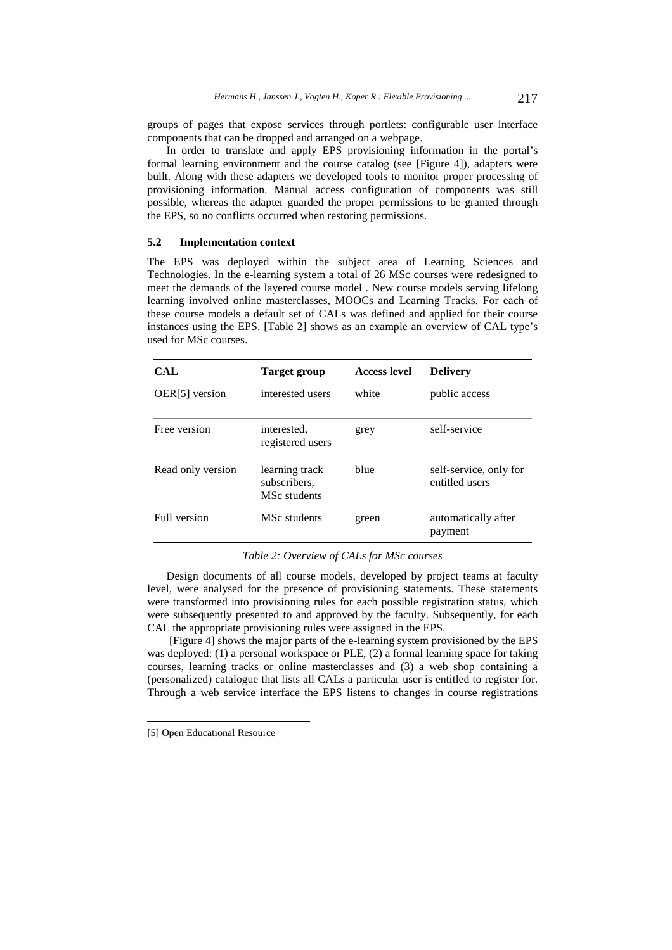groups of pages that expose services through portlets: configurable user interface components that can be dropped and arranged on a webpage.

In order to translate and apply EPS provisioning information in the portal's formal learning environment and the course catalog (see [Figure 4]), adapters were built. Along with these adapters we developed tools to monitor proper processing of provisioning information. Manual access configuration of components was still possible, whereas the adapter guarded the proper permissions to be granted through the EPS, so no conflicts occurred when restoring permissions.

# **5.2 Implementation context**

The EPS was deployed within the subject area of Learning Sciences and Technologies. In the e-learning system a total of 26 MSc courses were redesigned to meet the demands of the layered course model . New course models serving lifelong learning involved online masterclasses, MOOCs and Learning Tracks. For each of these course models a default set of CALs was defined and applied for their course instances using the EPS. [Table 2] shows as an example an overview of CAL type's used for MSc courses.

| CAL               | Target group                                   | <b>Access level</b> | <b>Delivery</b><br>public access         |  |  |
|-------------------|------------------------------------------------|---------------------|------------------------------------------|--|--|
| OER[5] version    | interested users                               | white               |                                          |  |  |
| Free version      | interested.<br>registered users                | grey                | self-service                             |  |  |
| Read only version | learning track<br>subscribers,<br>MSc students | blue                | self-service, only for<br>entitled users |  |  |
| Full version      | MSc students                                   | green               | automatically after<br>payment           |  |  |

#### *Table 2: Overview of CALs for MSc courses*

Design documents of all course models, developed by project teams at faculty level, were analysed for the presence of provisioning statements. These statements were transformed into provisioning rules for each possible registration status, which were subsequently presented to and approved by the faculty. Subsequently, for each CAL the appropriate provisioning rules were assigned in the EPS.

 [Figure 4] shows the major parts of the e-learning system provisioned by the EPS was deployed: (1) a personal workspace or PLE, (2) a formal learning space for taking courses, learning tracks or online masterclasses and (3) a web shop containing a (personalized) catalogue that lists all CALs a particular user is entitled to register for. Through a web service interface the EPS listens to changes in course registrations

l

<sup>[5]</sup> Open Educational Resource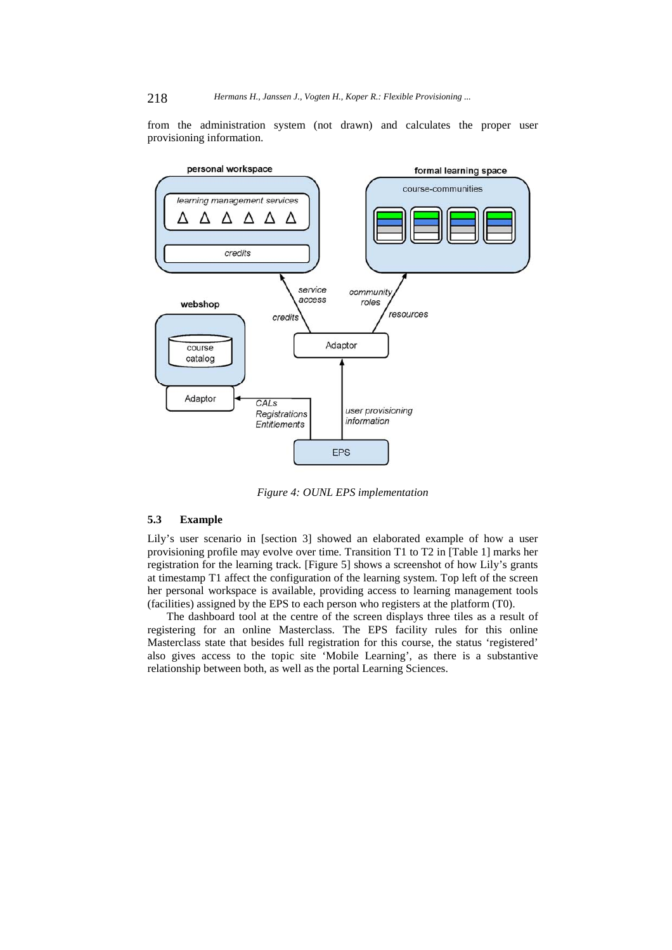from the administration system (not drawn) and calculates the proper user provisioning information.



*Figure 4: OUNL EPS implementation* 

# **5.3 Example**

Lily's user scenario in [section 3] showed an elaborated example of how a user provisioning profile may evolve over time. Transition T1 to T2 in [Table 1] marks her registration for the learning track. [Figure 5] shows a screenshot of how Lily's grants at timestamp T1 affect the configuration of the learning system. Top left of the screen her personal workspace is available, providing access to learning management tools (facilities) assigned by the EPS to each person who registers at the platform (T0).

The dashboard tool at the centre of the screen displays three tiles as a result of registering for an online Masterclass. The EPS facility rules for this online Masterclass state that besides full registration for this course, the status 'registered' also gives access to the topic site 'Mobile Learning', as there is a substantive relationship between both, as well as the portal Learning Sciences.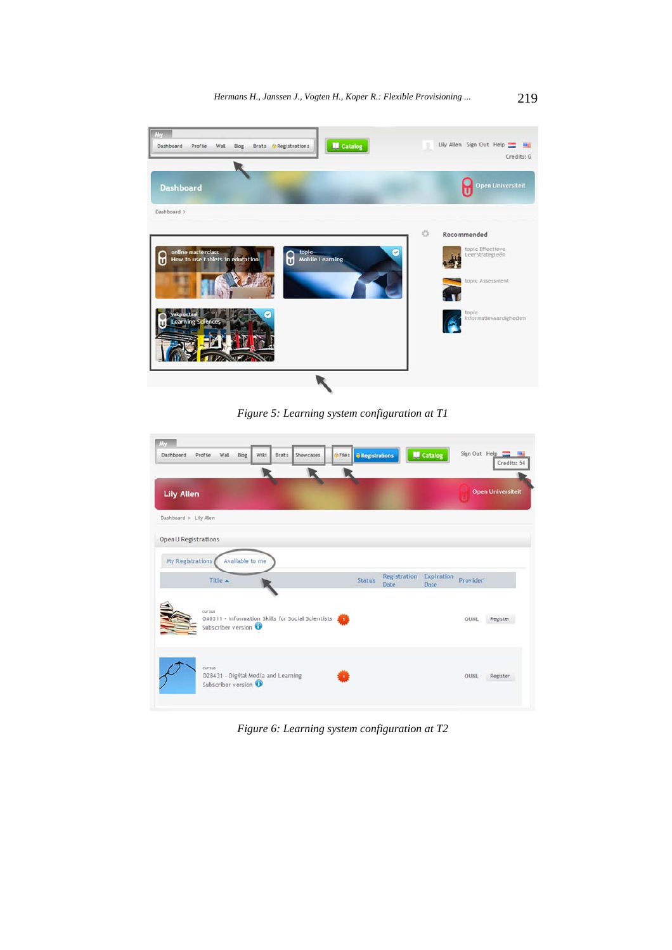

*Figure 5: Learning system configuration at T1* 

| <b>Iky</b>            |                                                                     |                 |      |       |                                                   |                              |                      |                    |          |                              |
|-----------------------|---------------------------------------------------------------------|-----------------|------|-------|---------------------------------------------------|------------------------------|----------------------|--------------------|----------|------------------------------|
| Dashboard             | Profile<br>Wall                                                     | Blog            | Wiki | Brats | Showcases                                         | <b>OFICS</b> 8 Registrations |                      | <b>M</b> Catalog   |          | Sign Out Help<br>Credits: 54 |
|                       |                                                                     |                 |      |       |                                                   |                              |                      |                    |          |                              |
| <b>Lily Allen</b>     |                                                                     |                 |      |       |                                                   |                              |                      |                    |          | <b>Open Universiteit</b>     |
| Dashboard > Lily Alen |                                                                     |                 |      |       |                                                   |                              |                      |                    |          |                              |
| Open U Registrations  |                                                                     |                 |      |       |                                                   |                              |                      |                    |          |                              |
| My Registrations      |                                                                     | Available to me |      |       |                                                   |                              |                      |                    |          |                              |
|                       | Title A                                                             |                 |      |       |                                                   | <b>Status</b>                | Registration<br>Date | Expiration<br>Date | Provider |                              |
|                       | cursus<br>Subscriber version                                        |                 |      |       | 040311 - Information Skills for Social Scientists |                              |                      |                    | OUNL     | Register                     |
|                       | cursus<br>O28431 - Digital Media and Learning<br>Subscriber version |                 |      |       |                                                   |                              |                      |                    | OUNL     | Register                     |

*Figure 6: Learning system configuration at T2*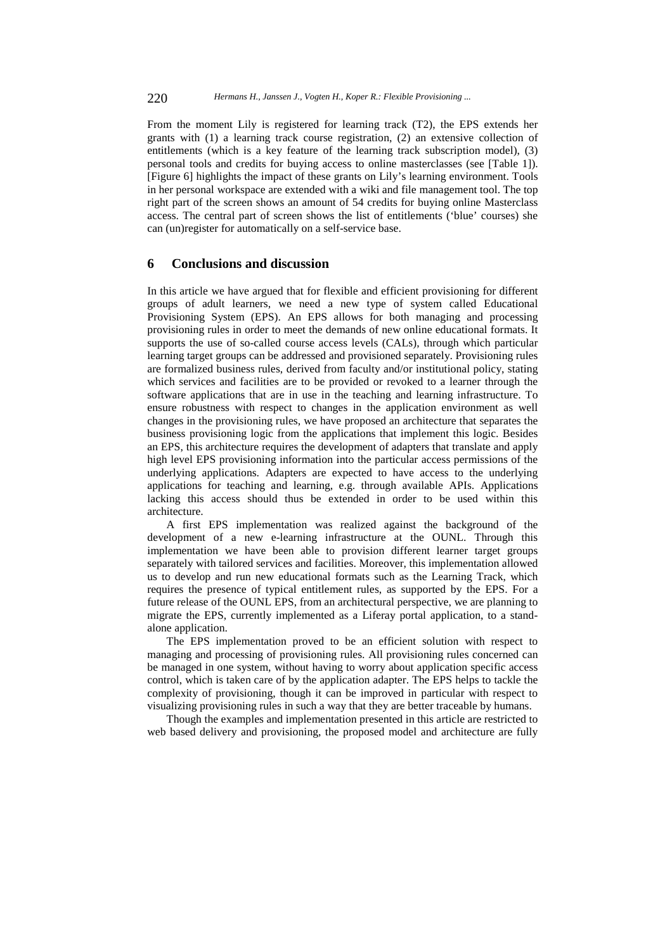From the moment Lily is registered for learning track (T2), the EPS extends her grants with (1) a learning track course registration, (2) an extensive collection of entitlements (which is a key feature of the learning track subscription model), (3) personal tools and credits for buying access to online masterclasses (see [Table 1]). [Figure 6] highlights the impact of these grants on Lily's learning environment. Tools in her personal workspace are extended with a wiki and file management tool. The top right part of the screen shows an amount of 54 credits for buying online Masterclass access. The central part of screen shows the list of entitlements ('blue' courses) she can (un)register for automatically on a self-service base.

# **6 Conclusions and discussion**

In this article we have argued that for flexible and efficient provisioning for different groups of adult learners, we need a new type of system called Educational Provisioning System (EPS). An EPS allows for both managing and processing provisioning rules in order to meet the demands of new online educational formats. It supports the use of so-called course access levels (CALs), through which particular learning target groups can be addressed and provisioned separately. Provisioning rules are formalized business rules, derived from faculty and/or institutional policy, stating which services and facilities are to be provided or revoked to a learner through the software applications that are in use in the teaching and learning infrastructure. To ensure robustness with respect to changes in the application environment as well changes in the provisioning rules, we have proposed an architecture that separates the business provisioning logic from the applications that implement this logic. Besides an EPS, this architecture requires the development of adapters that translate and apply high level EPS provisioning information into the particular access permissions of the underlying applications. Adapters are expected to have access to the underlying applications for teaching and learning, e.g. through available APIs. Applications lacking this access should thus be extended in order to be used within this architecture.

A first EPS implementation was realized against the background of the development of a new e-learning infrastructure at the OUNL. Through this implementation we have been able to provision different learner target groups separately with tailored services and facilities. Moreover, this implementation allowed us to develop and run new educational formats such as the Learning Track, which requires the presence of typical entitlement rules, as supported by the EPS. For a future release of the OUNL EPS, from an architectural perspective, we are planning to migrate the EPS, currently implemented as a Liferay portal application, to a standalone application.

The EPS implementation proved to be an efficient solution with respect to managing and processing of provisioning rules. All provisioning rules concerned can be managed in one system, without having to worry about application specific access control, which is taken care of by the application adapter. The EPS helps to tackle the complexity of provisioning, though it can be improved in particular with respect to visualizing provisioning rules in such a way that they are better traceable by humans.

Though the examples and implementation presented in this article are restricted to web based delivery and provisioning, the proposed model and architecture are fully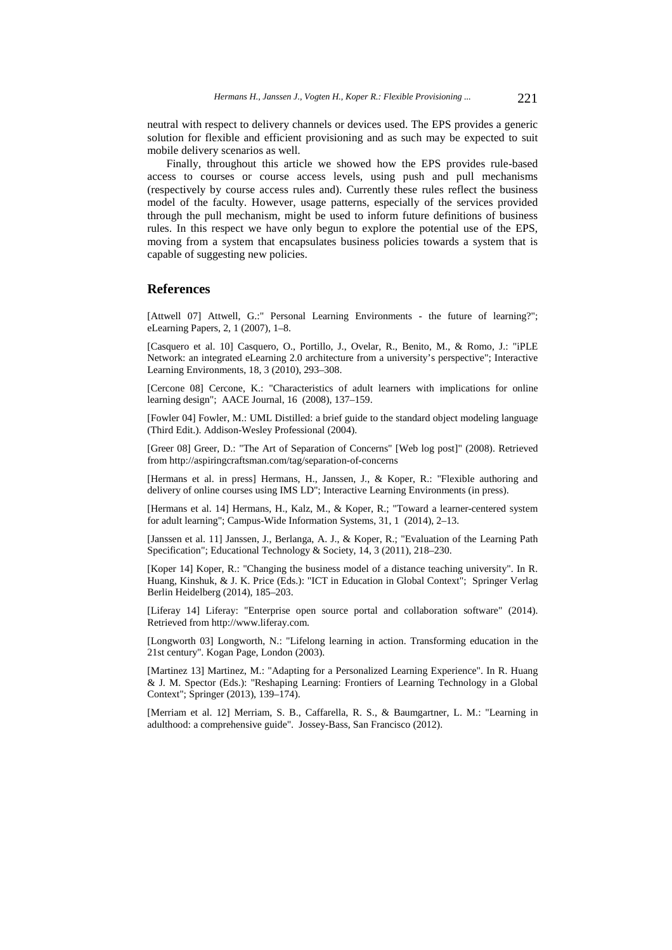neutral with respect to delivery channels or devices used. The EPS provides a generic solution for flexible and efficient provisioning and as such may be expected to suit mobile delivery scenarios as well.

Finally, throughout this article we showed how the EPS provides rule-based access to courses or course access levels, using push and pull mechanisms (respectively by course access rules and). Currently these rules reflect the business model of the faculty. However, usage patterns, especially of the services provided through the pull mechanism, might be used to inform future definitions of business rules. In this respect we have only begun to explore the potential use of the EPS, moving from a system that encapsulates business policies towards a system that is capable of suggesting new policies.

# **References**

[Attwell 07] Attwell, G.:" Personal Learning Environments - the future of learning?"; eLearning Papers, 2, 1 (2007), 1–8.

[Casquero et al. 10] Casquero, O., Portillo, J., Ovelar, R., Benito, M., & Romo, J.: "iPLE Network: an integrated eLearning 2.0 architecture from a university's perspective"; Interactive Learning Environments, 18, 3 (2010), 293–308.

[Cercone 08] Cercone, K.: "Characteristics of adult learners with implications for online learning design"; AACE Journal, 16 (2008), 137–159.

[Fowler 04] Fowler, M.: UML Distilled: a brief guide to the standard object modeling language (Third Edit.). Addison-Wesley Professional (2004).

[Greer 08] Greer, D.: "The Art of Separation of Concerns" [Web log post]" (2008). Retrieved from http://aspiringcraftsman.com/tag/separation-of-concerns

[Hermans et al. in press] Hermans, H., Janssen, J., & Koper, R.: "Flexible authoring and delivery of online courses using IMS LD"; Interactive Learning Environments (in press).

[Hermans et al. 14] Hermans, H., Kalz, M., & Koper, R.; "Toward a learner-centered system for adult learning"; Campus-Wide Information Systems, 31, 1 (2014), 2–13.

[Janssen et al. 11] Janssen, J., Berlanga, A. J., & Koper, R.; "Evaluation of the Learning Path Specification"; Educational Technology & Society, 14, 3 (2011), 218–230.

[Koper 14] Koper, R.: "Changing the business model of a distance teaching university". In R. Huang, Kinshuk, & J. K. Price (Eds.): "ICT in Education in Global Context"; Springer Verlag Berlin Heidelberg (2014), 185–203.

[Liferay 14] Liferay: "Enterprise open source portal and collaboration software" (2014). Retrieved from http://www.liferay.com.

[Longworth 03] Longworth, N.: "Lifelong learning in action. Transforming education in the 21st century". Kogan Page, London (2003).

[Martinez 13] Martinez, M.: "Adapting for a Personalized Learning Experience". In R. Huang & J. M. Spector (Eds.): "Reshaping Learning: Frontiers of Learning Technology in a Global Context"; Springer (2013), 139–174).

[Merriam et al. 12] Merriam, S. B., Caffarella, R. S., & Baumgartner, L. M.: "Learning in adulthood: a comprehensive guide". Jossey-Bass, San Francisco (2012).